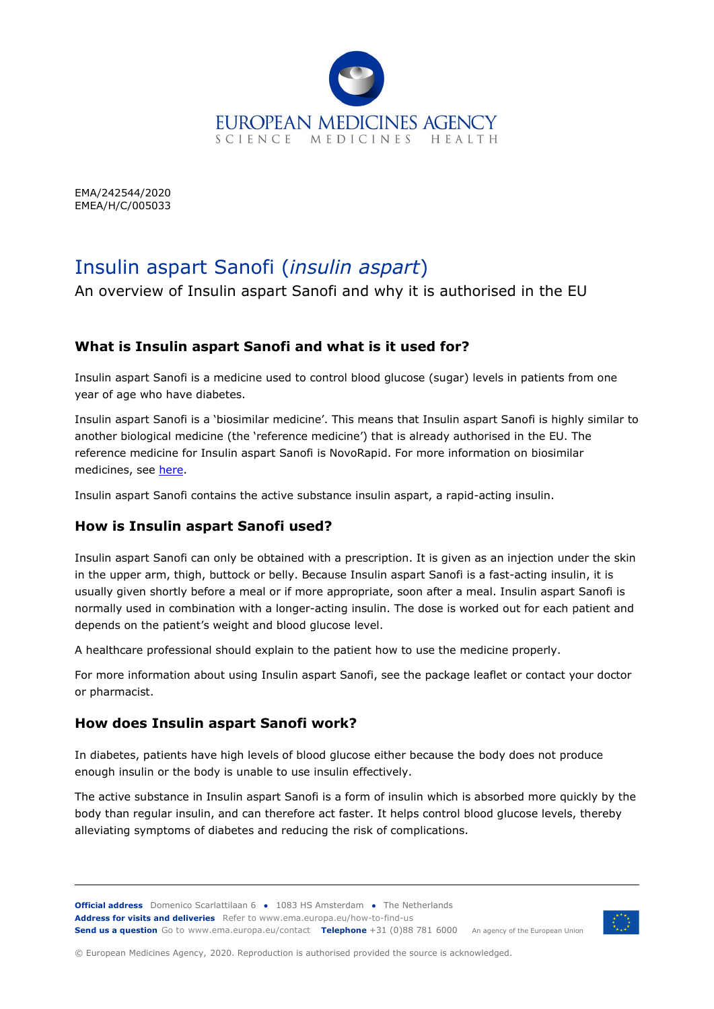

EMA/242544/2020 EMEA/H/C/005033

# Insulin aspart Sanofi (*insulin aspart*)

An overview of Insulin aspart Sanofi and why it is authorised in the EU

## **What is Insulin aspart Sanofi and what is it used for?**

Insulin aspart Sanofi is a medicine used to control blood glucose (sugar) levels in patients from one year of age who have diabetes.

Insulin aspart Sanofi is a 'biosimilar medicine'. This means that Insulin aspart Sanofi is highly similar to another biological medicine (the 'reference medicine') that is already authorised in the EU. The reference medicine for Insulin aspart Sanofi is NovoRapid. For more information on biosimilar medicines, see [here.](https://www.ema.europa.eu/en/human-regulatory/overview/biosimilar-medicines)

Insulin aspart Sanofi contains the active substance insulin aspart, a rapid-acting insulin.

## **How is Insulin aspart Sanofi used?**

Insulin aspart Sanofi can only be obtained with a prescription. It is given as an injection under the skin in the upper arm, thigh, buttock or belly. Because Insulin aspart Sanofi is a fast-acting insulin, it is usually given shortly before a meal or if more appropriate, soon after a meal. Insulin aspart Sanofi is normally used in combination with a longer-acting insulin. The dose is worked out for each patient and depends on the patient's weight and blood glucose level.

A healthcare professional should explain to the patient how to use the medicine properly.

For more information about using Insulin aspart Sanofi, see the package leaflet or contact your doctor or pharmacist.

## **How does Insulin aspart Sanofi work?**

In diabetes, patients have high levels of blood glucose either because the body does not produce enough insulin or the body is unable to use insulin effectively.

The active substance in Insulin aspart Sanofi is a form of insulin which is absorbed more quickly by the body than regular insulin, and can therefore act faster. It helps control blood glucose levels, thereby alleviating symptoms of diabetes and reducing the risk of complications.



© European Medicines Agency, 2020. Reproduction is authorised provided the source is acknowledged.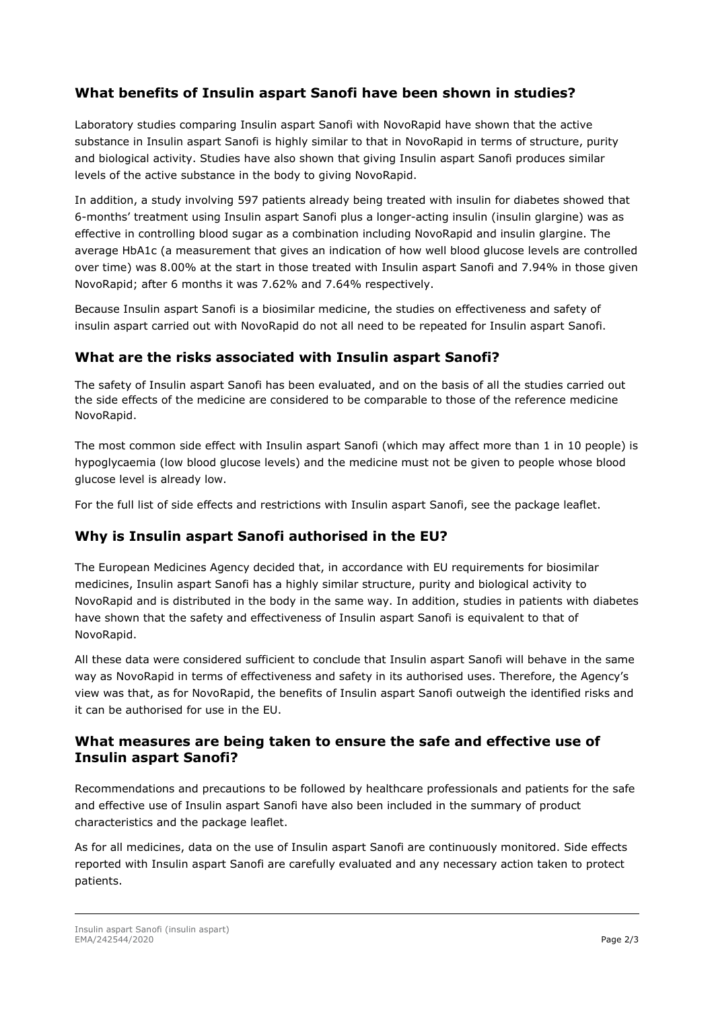## **What benefits of Insulin aspart Sanofi have been shown in studies?**

Laboratory studies comparing Insulin aspart Sanofi with NovoRapid have shown that the active substance in Insulin aspart Sanofi is highly similar to that in NovoRapid in terms of structure, purity and biological activity. Studies have also shown that giving Insulin aspart Sanofi produces similar levels of the active substance in the body to giving NovoRapid.

In addition, a study involving 597 patients already being treated with insulin for diabetes showed that 6-months' treatment using Insulin aspart Sanofi plus a longer-acting insulin (insulin glargine) was as effective in controlling blood sugar as a combination including NovoRapid and insulin glargine. The average HbA1c (a measurement that gives an indication of how well blood glucose levels are controlled over time) was 8.00% at the start in those treated with Insulin aspart Sanofi and 7.94% in those given NovoRapid; after 6 months it was 7.62% and 7.64% respectively.

Because Insulin aspart Sanofi is a biosimilar medicine, the studies on effectiveness and safety of insulin aspart carried out with NovoRapid do not all need to be repeated for Insulin aspart Sanofi.

#### **What are the risks associated with Insulin aspart Sanofi?**

The safety of Insulin aspart Sanofi has been evaluated, and on the basis of all the studies carried out the side effects of the medicine are considered to be comparable to those of the reference medicine NovoRapid.

The most common side effect with Insulin aspart Sanofi (which may affect more than 1 in 10 people) is hypoglycaemia (low blood glucose levels) and the medicine must not be given to people whose blood glucose level is already low.

For the full list of side effects and restrictions with Insulin aspart Sanofi, see the package leaflet.

## **Why is Insulin aspart Sanofi authorised in the EU?**

The European Medicines Agency decided that, in accordance with EU requirements for biosimilar medicines, Insulin aspart Sanofi has a highly similar structure, purity and biological activity to NovoRapid and is distributed in the body in the same way. In addition, studies in patients with diabetes have shown that the safety and effectiveness of Insulin aspart Sanofi is equivalent to that of NovoRapid.

All these data were considered sufficient to conclude that Insulin aspart Sanofi will behave in the same way as NovoRapid in terms of effectiveness and safety in its authorised uses. Therefore, the Agency's view was that, as for NovoRapid, the benefits of Insulin aspart Sanofi outweigh the identified risks and it can be authorised for use in the EU.

#### **What measures are being taken to ensure the safe and effective use of Insulin aspart Sanofi?**

Recommendations and precautions to be followed by healthcare professionals and patients for the safe and effective use of Insulin aspart Sanofi have also been included in the summary of product characteristics and the package leaflet.

As for all medicines, data on the use of Insulin aspart Sanofi are continuously monitored. Side effects reported with Insulin aspart Sanofi are carefully evaluated and any necessary action taken to protect patients.